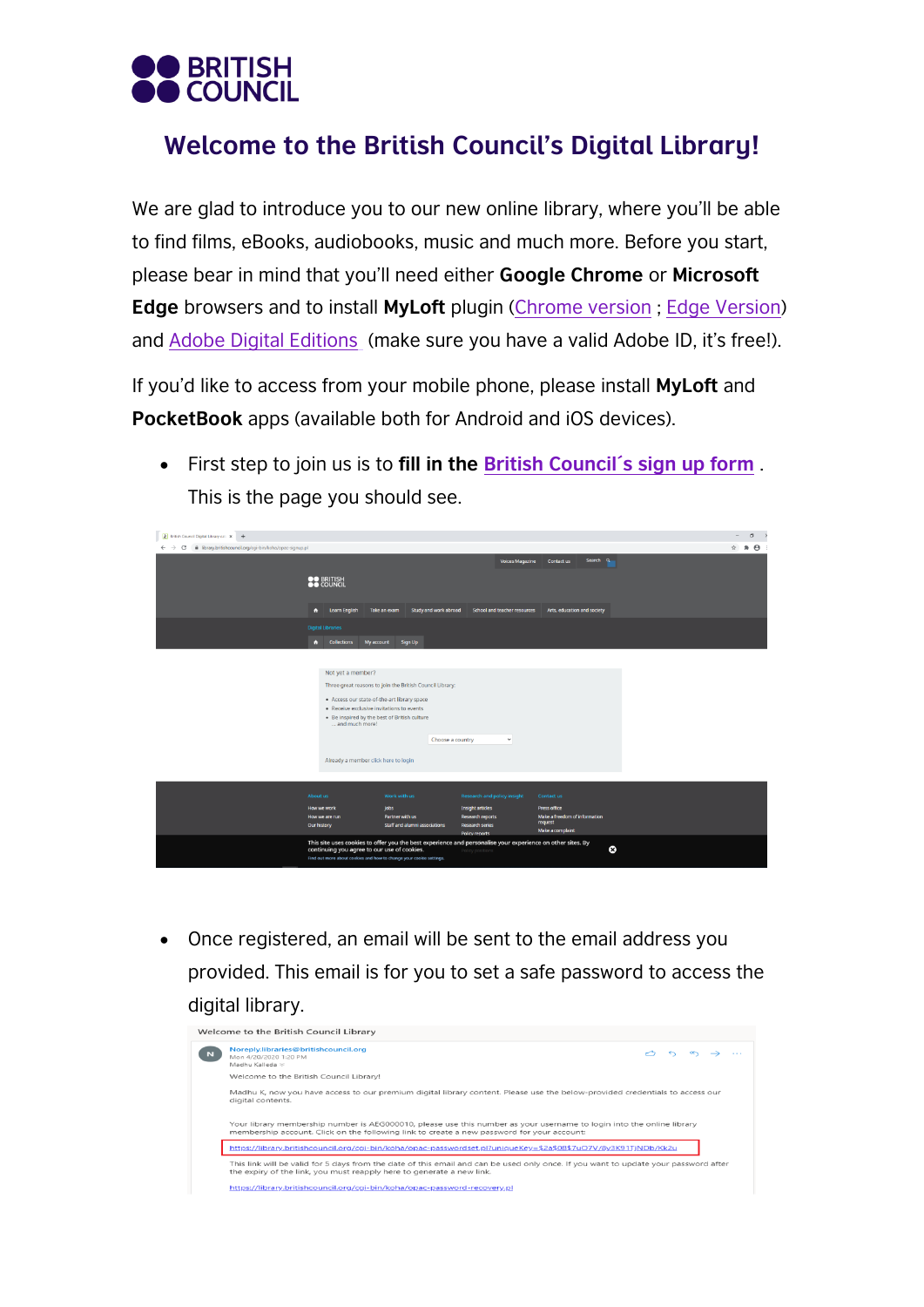

## Welcome to the British Council's Digital Library!

We are glad to introduce you to our new online library, where you'll be able to find films, eBooks, audiobooks, music and much more. Before you start, please bear in mind that you'll need either **Google Chrome** or **Microsoft Edge** browsers and to install **MyLoft** plugin [\(Chrome version](https://chrome.google.com/webstore/detail/myloft/hljakogpibfgelmoegmajaeefcnefngd) ; [Edge Version\)](https://microsoftedge.microsoft.com/addons/detail/myloft/fpipfdkmjmeppohgfomgkaniobddgjjc) and [Adobe Digital Editions](https://www.adobe.com/es/solutions/ebook/digital-editions.html) (make sure you have a valid Adobe ID, it's free!).

If you'd like to access from your mobile phone, please install **MyLoft** and **PocketBook** apps (available both for Android and iOS devices).

• First step to join us is to **fill in the [British Council´s sign up form](https://library.britishcouncil.org/cgi-bin/koha/opac-signup.pl)** . This is the page you should see.

| R British Council Digital Library cat: X +                                                     |                                                                                                                    |                                                                                                            |                                                                            |                                                              | $\sigma$<br>$\overline{\phantom{a}}$ |
|------------------------------------------------------------------------------------------------|--------------------------------------------------------------------------------------------------------------------|------------------------------------------------------------------------------------------------------------|----------------------------------------------------------------------------|--------------------------------------------------------------|--------------------------------------|
| $\leftarrow$ $\rightarrow$ C' $\bullet$ library.britishcouncil.org/cgi-bin/koha/opac-signup.pl |                                                                                                                    |                                                                                                            |                                                                            |                                                              | ☆ ★ 台 :                              |
|                                                                                                |                                                                                                                    |                                                                                                            | Voices Magazine                                                            | Search <sub>Q</sub><br>Contact us                            |                                      |
|                                                                                                | <b>SO BRITISH</b>                                                                                                  |                                                                                                            |                                                                            |                                                              |                                      |
|                                                                                                | Learn English<br>$\bullet$                                                                                         | Take an exam<br>Study and work abroad                                                                      | School and teacher resources                                               | Arts, education and society                                  |                                      |
|                                                                                                | <b>Digital Libraries</b>                                                                                           |                                                                                                            |                                                                            |                                                              |                                      |
|                                                                                                | $\bullet$<br><b>Collections</b><br>My account                                                                      | Sign Up                                                                                                    |                                                                            |                                                              |                                      |
|                                                                                                |                                                                                                                    |                                                                                                            |                                                                            |                                                              |                                      |
|                                                                                                | Not yet a member?                                                                                                  |                                                                                                            |                                                                            |                                                              |                                      |
|                                                                                                |                                                                                                                    | Three great reasons to join the British Council Library:                                                   |                                                                            |                                                              |                                      |
|                                                                                                | . Access our state-of-the-art library space                                                                        |                                                                                                            |                                                                            |                                                              |                                      |
|                                                                                                | . Receive exclusive invitations to events                                                                          |                                                                                                            |                                                                            |                                                              |                                      |
|                                                                                                | . Be inspired by the best of British culture<br>and much more!                                                     |                                                                                                            |                                                                            |                                                              |                                      |
|                                                                                                |                                                                                                                    | Choose a country                                                                                           | $\checkmark$                                                               |                                                              |                                      |
|                                                                                                |                                                                                                                    |                                                                                                            |                                                                            |                                                              |                                      |
|                                                                                                | Already a member click here to login                                                                               |                                                                                                            |                                                                            |                                                              |                                      |
|                                                                                                |                                                                                                                    |                                                                                                            |                                                                            |                                                              |                                      |
|                                                                                                | About us                                                                                                           | Work with us                                                                                               | Research and policy insight                                                | Contact us                                                   |                                      |
|                                                                                                | How we work                                                                                                        | <b>Jobs</b>                                                                                                | Insight articles                                                           | Press office                                                 |                                      |
|                                                                                                | How we are run<br>Our history                                                                                      | Partner with us<br>Staff and alumni associations                                                           | <b>Research reports</b><br><b>Research series</b><br><b>Policy reports</b> | Make a freedom of information<br>request<br>Make a complaint |                                      |
|                                                                                                | continuing you agree to our use of cookies.<br>Find out more about cookies and how to change your cookie settings. | This site uses cookies to offer you the best experience and personalise your experience on other sites. By | Policy position                                                            | $\circ$                                                      |                                      |

• Once registered, an email will be sent to the email address you provided. This email is for you to set a safe password to access the digital library.

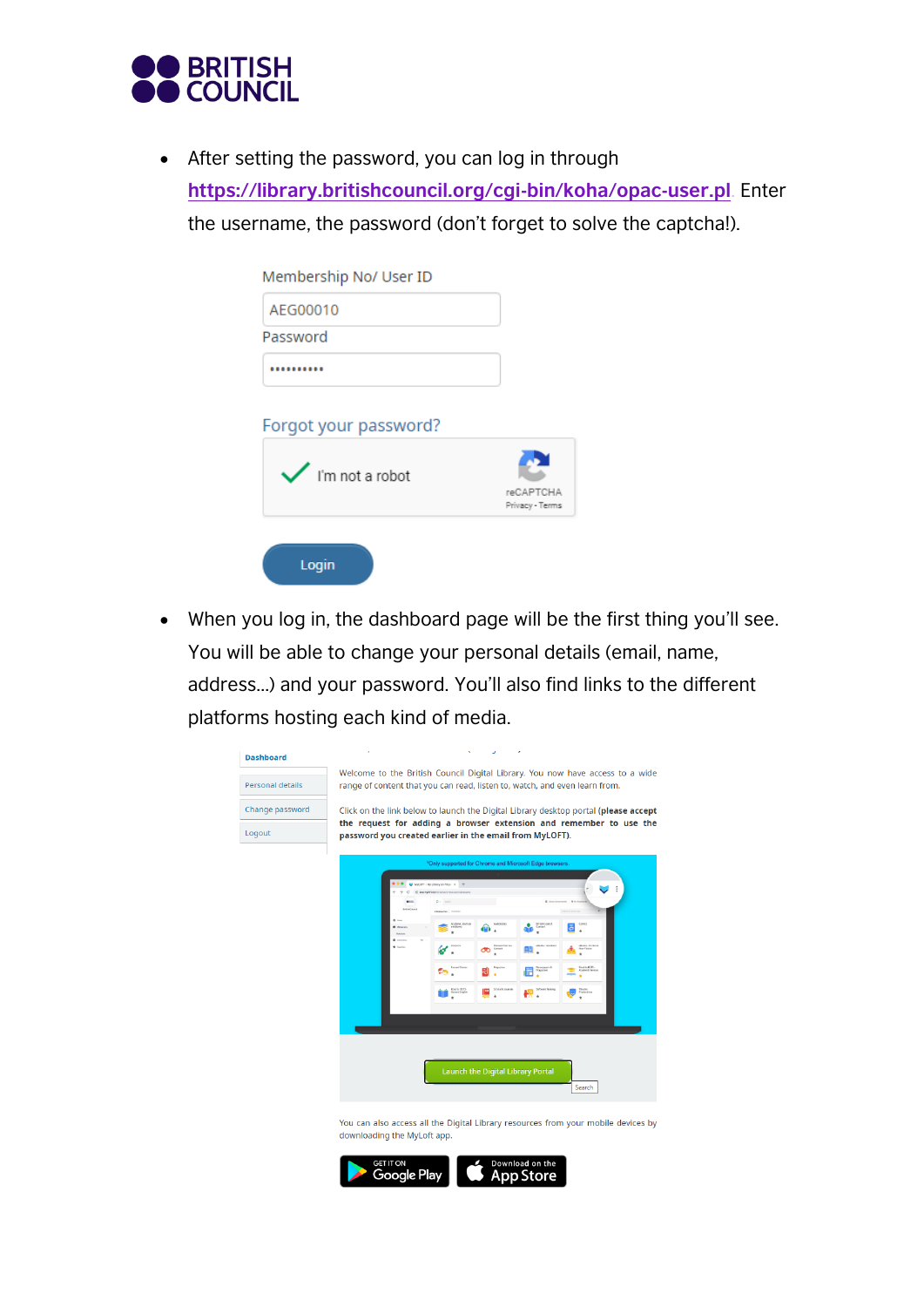

• After setting the password, you can log in through **<https://library.britishcouncil.org/cgi-bin/koha/opac-user.pl>**. Enter the username, the password (don't forget to solve the captcha!).

| Membership No/ User ID       |                              |
|------------------------------|------------------------------|
| AEG00010                     |                              |
| Password                     |                              |
|                              |                              |
| Forgot your password?        |                              |
| $\checkmark$ l'm not a robot |                              |
|                              | reCAPTCHA<br>Privacy - Terms |

• When you log in, the dashboard page will be the first thing you'll see. You will be able to change your personal details (email, name, address...) and your password. You'll also find links to the different platforms hosting each kind of media.

| <b>Dashboard</b>        | ×<br>٠                                                                                                                                                      |
|-------------------------|-------------------------------------------------------------------------------------------------------------------------------------------------------------|
| <b>Personal details</b> | Welcome to the British Council Digital Library. You now have access to a wide<br>range of content that you can read, listen to, watch, and even learn from. |
| Change password         | Click on the link below to launch the Digital Library desktop portal (please accept                                                                         |
| Logout                  | the request for adding a browser extension and remember to use the<br>password you created earlier in the email from MyLOFT).                               |
|                         | *Only supported for Chrome and Microsoft Edge browsers.                                                                                                     |
|                         | MACFT - My Library on Finger X<br>© колуквиральность<br>$\in$<br>$p = 500$<br><b>British</b>                                                                |
|                         | <b>British Council</b><br>elasteron Drahos<br><b>Icolonic Journals</b><br>Content<br>and Books                                                              |
|                         | ũΟ<br><b>Books-Academic</b><br>Discover Partner<br><b>Book-Fizieni</b><br><b>Continue</b><br>Contact<br>Non-Fission<br>ೲ                                    |
|                         | and to \$535.                                                                                                                                               |
|                         | Read to IDLTS -<br>General English<br>Theatre<br>Pradactions                                                                                                |
|                         |                                                                                                                                                             |
|                         |                                                                                                                                                             |
|                         | Launch the Digital Library Portal<br>Search                                                                                                                 |
|                         | You can also access all the Digital Library resources from your mobile devices by                                                                           |

downloading the MyLoft app.